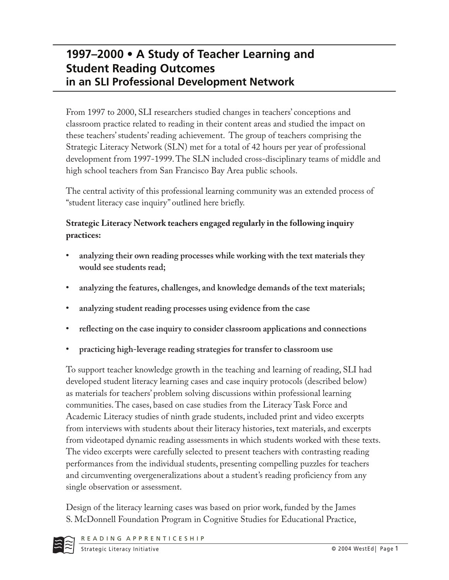# **1997–2000 • A Study of Teacher Learning and Student Reading Outcomes in an SLI Professional Development Network**

From 1997 to 2000, SLI researchers studied changes in teachers' conceptions and classroom practice related to reading in their content areas and studied the impact on these teachers' students' reading achievement. The group of teachers comprising the Strategic Literacy Network (SLN) met for a total of 42 hours per year of professional development from 1997-1999. The SLN included cross-disciplinary teams of middle and high school teachers from San Francisco Bay Area public schools.

The central activity of this professional learning community was an extended process of "student literacy case inquiry" outlined here briefly.

### **Strategic Literacy Network teachers engaged regularly in the following inquiry practices:**

- **analyzing their own reading processes while working with the text materials they would see students read;**
- **analyzing the features, challenges, and knowledge demands of the text materials;**
- **analyzing student reading processes using evidence from the case**
- **reflecting on the case inquiry to consider classroom applications and connections**
- **practicing high-leverage reading strategies for transfer to classroom use**

To support teacher knowledge growth in the teaching and learning of reading, SLI had developed student literacy learning cases and case inquiry protocols (described below) as materials for teachers' problem solving discussions within professional learning communities. The cases, based on case studies from the Literacy Task Force and Academic Literacy studies of ninth grade students, included print and video excerpts from interviews with students about their literacy histories, text materials, and excerpts from videotaped dynamic reading assessments in which students worked with these texts. The video excerpts were carefully selected to present teachers with contrasting reading performances from the individual students, presenting compelling puzzles for teachers and circumventing overgeneralizations about a student's reading proficiency from any single observation or assessment.

Design of the literacy learning cases was based on prior work, funded by the James S. McDonnell Foundation Program in Cognitive Studies for Educational Practice,

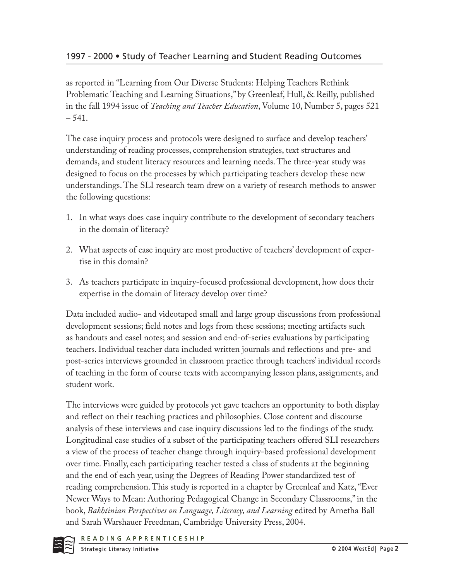as reported in "Learning from Our Diverse Students: Helping Teachers Rethink Problematic Teaching and Learning Situations," by Greenleaf, Hull, & Reilly, published in the fall 1994 issue of *Teaching and Teacher Education*, Volume 10, Number 5, pages 521 – 541.

The case inquiry process and protocols were designed to surface and develop teachers' understanding of reading processes, comprehension strategies, text structures and demands, and student literacy resources and learning needs. The three-year study was designed to focus on the processes by which participating teachers develop these new understandings. The SLI research team drew on a variety of research methods to answer the following questions:

- 1. In what ways does case inquiry contribute to the development of secondary teachers in the domain of literacy?
- 2. What aspects of case inquiry are most productive of teachers' development of expertise in this domain?
- 3. As teachers participate in inquiry-focused professional development, how does their expertise in the domain of literacy develop over time?

Data included audio- and videotaped small and large group discussions from professional development sessions; field notes and logs from these sessions; meeting artifacts such as handouts and easel notes; and session and end-of-series evaluations by participating teachers. Individual teacher data included written journals and reflections and pre- and post-series interviews grounded in classroom practice through teachers' individual records of teaching in the form of course texts with accompanying lesson plans, assignments, and student work.

The interviews were guided by protocols yet gave teachers an opportunity to both display and reflect on their teaching practices and philosophies. Close content and discourse analysis of these interviews and case inquiry discussions led to the findings of the study. Longitudinal case studies of a subset of the participating teachers offered SLI researchers a view of the process of teacher change through inquiry-based professional development over time. Finally, each participating teacher tested a class of students at the beginning and the end of each year, using the Degrees of Reading Power standardized test of reading comprehension. This study is reported in a chapter by Greenleaf and Katz, "Ever Newer Ways to Mean: Authoring Pedagogical Change in Secondary Classrooms," in the book, *Bakhtinian Perspectives on Language, Literacy, and Learning* edited by Arnetha Ball and Sarah Warshauer Freedman, Cambridge University Press, 2004.

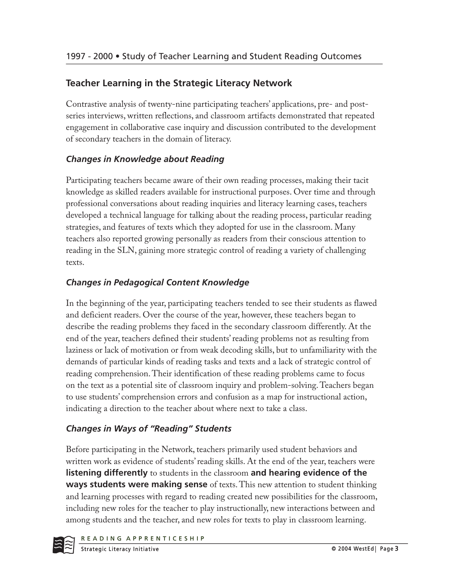# **Teacher Learning in the Strategic Literacy Network**

Contrastive analysis of twenty-nine participating teachers' applications, pre- and postseries interviews, written reflections, and classroom artifacts demonstrated that repeated engagement in collaborative case inquiry and discussion contributed to the development of secondary teachers in the domain of literacy.

# *Changes in Knowledge about Reading*

Participating teachers became aware of their own reading processes, making their tacit knowledge as skilled readers available for instructional purposes. Over time and through professional conversations about reading inquiries and literacy learning cases, teachers developed a technical language for talking about the reading process, particular reading strategies, and features of texts which they adopted for use in the classroom. Many teachers also reported growing personally as readers from their conscious attention to reading in the SLN, gaining more strategic control of reading a variety of challenging texts.

# *Changes in Pedagogical Content Knowledge*

In the beginning of the year, participating teachers tended to see their students as flawed and deficient readers. Over the course of the year, however, these teachers began to describe the reading problems they faced in the secondary classroom differently. At the end of the year, teachers defined their students' reading problems not as resulting from laziness or lack of motivation or from weak decoding skills, but to unfamiliarity with the demands of particular kinds of reading tasks and texts and a lack of strategic control of reading comprehension. Their identification of these reading problems came to focus on the text as a potential site of classroom inquiry and problem-solving. Teachers began to use students' comprehension errors and confusion as a map for instructional action, indicating a direction to the teacher about where next to take a class.

# *Changes in Ways of "Reading" Students*

Before participating in the Network, teachers primarily used student behaviors and written work as evidence of students' reading skills. At the end of the year, teachers were **listening differently** to students in the classroom **and hearing evidence of the ways students were making sense** of texts. This new attention to student thinking and learning processes with regard to reading created new possibilities for the classroom, including new roles for the teacher to play instructionally, new interactions between and among students and the teacher, and new roles for texts to play in classroom learning.

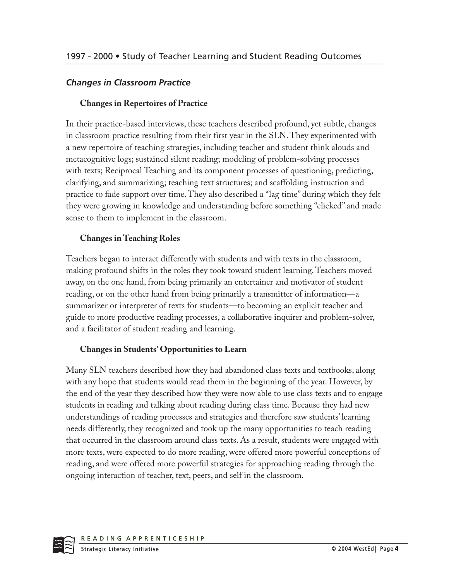#### *Changes in Classroom Practice*

#### **Changes in Repertoires of Practice**

In their practice-based interviews, these teachers described profound, yet subtle, changes in classroom practice resulting from their first year in the SLN. They experimented with a new repertoire of teaching strategies, including teacher and student think alouds and metacognitive logs; sustained silent reading; modeling of problem-solving processes with texts; Reciprocal Teaching and its component processes of questioning, predicting, clarifying, and summarizing; teaching text structures; and scaffolding instruction and practice to fade support over time. They also described a "lag time" during which they felt they were growing in knowledge and understanding before something "clicked" and made sense to them to implement in the classroom.

#### **Changes in Teaching Roles**

Teachers began to interact differently with students and with texts in the classroom, making profound shifts in the roles they took toward student learning. Teachers moved away, on the one hand, from being primarily an entertainer and motivator of student reading, or on the other hand from being primarily a transmitter of information—a summarizer or interpreter of texts for students—to becoming an explicit teacher and guide to more productive reading processes, a collaborative inquirer and problem-solver, and a facilitator of student reading and learning.

#### **Changes in Students' Opportunities to Learn**

Many SLN teachers described how they had abandoned class texts and textbooks, along with any hope that students would read them in the beginning of the year. However, by the end of the year they described how they were now able to use class texts and to engage students in reading and talking about reading during class time. Because they had new understandings of reading processes and strategies and therefore saw students' learning needs differently, they recognized and took up the many opportunities to teach reading that occurred in the classroom around class texts. As a result, students were engaged with more texts, were expected to do more reading, were offered more powerful conceptions of reading, and were offered more powerful strategies for approaching reading through the ongoing interaction of teacher, text, peers, and self in the classroom.

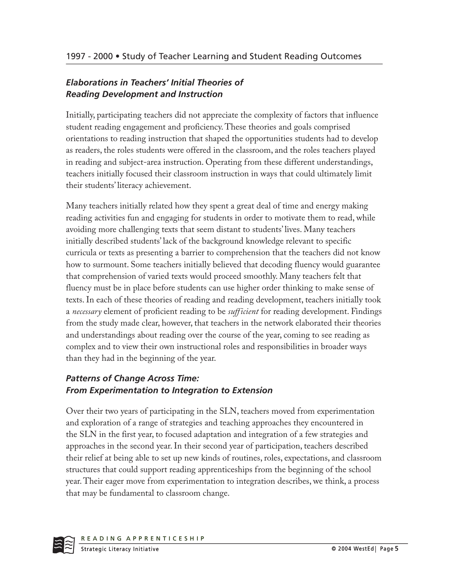### *Elaborations in Teachers' Initial Theories of Reading Development and Instruction*

Initially, participating teachers did not appreciate the complexity of factors that influence student reading engagement and proficiency. These theories and goals comprised orientations to reading instruction that shaped the opportunities students had to develop as readers, the roles students were offered in the classroom, and the roles teachers played in reading and subject-area instruction. Operating from these different understandings, teachers initially focused their classroom instruction in ways that could ultimately limit their students' literacy achievement.

Many teachers initially related how they spent a great deal of time and energy making reading activities fun and engaging for students in order to motivate them to read, while avoiding more challenging texts that seem distant to students' lives. Many teachers initially described students' lack of the background knowledge relevant to specific curricula or texts as presenting a barrier to comprehension that the teachers did not know how to surmount. Some teachers initially believed that decoding fluency would guarantee that comprehension of varied texts would proceed smoothly. Many teachers felt that fluency must be in place before students can use higher order thinking to make sense of texts. In each of these theories of reading and reading development, teachers initially took a *necessary* element of proficient reading to be *sufficient* for reading development. Findings from the study made clear, however, that teachers in the network elaborated their theories and understandings about reading over the course of the year, coming to see reading as complex and to view their own instructional roles and responsibilities in broader ways than they had in the beginning of the year.

# *Patterns of Change Across Time: From Experimentation to Integration to Extension*

Over their two years of participating in the SLN, teachers moved from experimentation and exploration of a range of strategies and teaching approaches they encountered in the SLN in the first year, to focused adaptation and integration of a few strategies and approaches in the second year. In their second year of participation, teachers described their relief at being able to set up new kinds of routines, roles, expectations, and classroom structures that could support reading apprenticeships from the beginning of the school year. Their eager move from experimentation to integration describes, we think, a process that may be fundamental to classroom change.

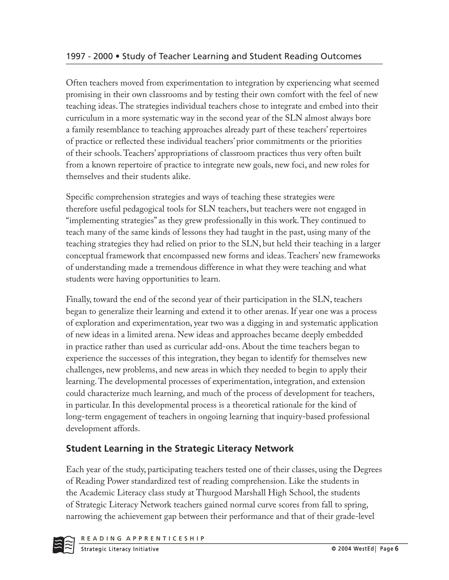Often teachers moved from experimentation to integration by experiencing what seemed promising in their own classrooms and by testing their own comfort with the feel of new teaching ideas. The strategies individual teachers chose to integrate and embed into their curriculum in a more systematic way in the second year of the SLN almost always bore a family resemblance to teaching approaches already part of these teachers' repertoires of practice or reflected these individual teachers' prior commitments or the priorities of their schools. Teachers' appropriations of classroom practices thus very often built from a known repertoire of practice to integrate new goals, new foci, and new roles for themselves and their students alike.

Specific comprehension strategies and ways of teaching these strategies were therefore useful pedagogical tools for SLN teachers, but teachers were not engaged in "implementing strategies" as they grew professionally in this work. They continued to teach many of the same kinds of lessons they had taught in the past, using many of the teaching strategies they had relied on prior to the SLN, but held their teaching in a larger conceptual framework that encompassed new forms and ideas. Teachers' new frameworks of understanding made a tremendous difference in what they were teaching and what students were having opportunities to learn.

Finally, toward the end of the second year of their participation in the SLN, teachers began to generalize their learning and extend it to other arenas. If year one was a process of exploration and experimentation, year two was a digging in and systematic application of new ideas in a limited arena. New ideas and approaches became deeply embedded in practice rather than used as curricular add-ons. About the time teachers began to experience the successes of this integration, they began to identify for themselves new challenges, new problems, and new areas in which they needed to begin to apply their learning. The developmental processes of experimentation, integration, and extension could characterize much learning, and much of the process of development for teachers, in particular. In this developmental process is a theoretical rationale for the kind of long-term engagement of teachers in ongoing learning that inquiry-based professional development affords.

# **Student Learning in the Strategic Literacy Network**

Each year of the study, participating teachers tested one of their classes, using the Degrees of Reading Power standardized test of reading comprehension. Like the students in the Academic Literacy class study at Thurgood Marshall High School, the students of Strategic Literacy Network teachers gained normal curve scores from fall to spring, narrowing the achievement gap between their performance and that of their grade-level

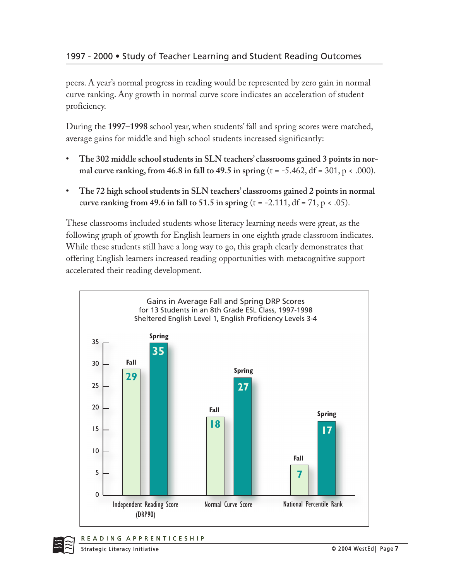peers. A year's normal progress in reading would be represented by zero gain in normal curve ranking. Any growth in normal curve score indicates an acceleration of student proficiency.

During the **1997–1998** school year, when students' fall and spring scores were matched, average gains for middle and high school students increased significantly:

- **The 302 middle school students in SLN teachers' classrooms gained 3 points in normal curve ranking, from 46.8 in fall to 49.5 in spring** (t = -5.462, df = 301, p < .000).
- **The 72 high school students in SLN teachers' classrooms gained 2 points in normal curve ranking from 49.6 in fall to 51.5 in spring**  $(t = -2.111, df = 71, p < .05)$ **.**

These classrooms included students whose literacy learning needs were great, as the following graph of growth for English learners in one eighth grade classroom indicates. While these students still have a long way to go, this graph clearly demonstrates that offering English learners increased reading opportunities with metacognitive support accelerated their reading development.